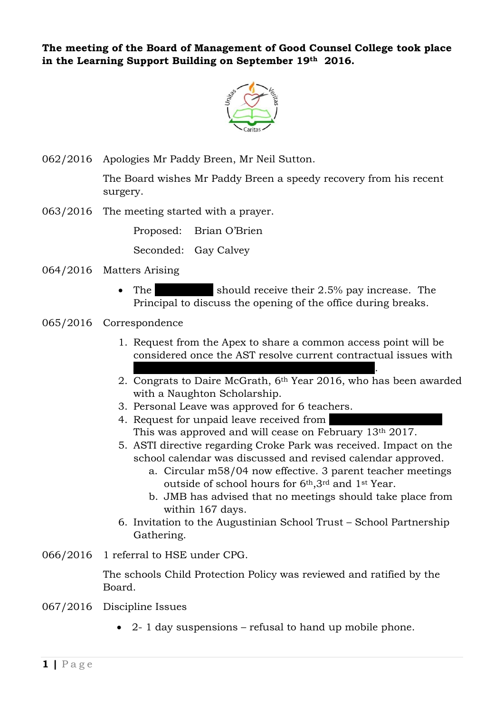**The meeting of the Board of Management of Good Counsel College took place in the Learning Support Building on September 19th 2016.**



062/2016 Apologies Mr Paddy Breen, Mr Neil Sutton.

The Board wishes Mr Paddy Breen a speedy recovery from his recent surgery.

063/2016 The meeting started with a prayer.

Proposed: Brian O'Brien

Seconded: Gay Calvey

- 064/2016 Matters Arising
	- The should receive their  $2.5\%$  pay increase. The Principal to discuss the opening of the office during breaks.
- 065/2016 Correspondence
	- 1. Request from the Apex to share a common access point will be considered once the AST resolve current contractual issues with
	- $X \times \mathbb{R}$   $X \times \mathbb{R}$   $X \times \mathbb{R}$   $X \times \mathbb{R}$   $X \times \mathbb{R}$   $X \times \mathbb{R}$   $X \times \mathbb{R}$ 2. Congrats to Daire McGrath, 6th Year 2016, who has been awarded with a Naughton Scholarship.
	- 3. Personal Leave was approved for 6 teachers.
	- 4. Request for unpaid leave received from This was approved and will cease on February 13th 2017.
	- 5. ASTI directive regarding Croke Park was received. Impact on the school calendar was discussed and revised calendar approved.
		- a. Circular m58/04 now effective. 3 parent teacher meetings outside of school hours for 6th,3rd and 1st Year.
		- b. JMB has advised that no meetings should take place from within 167 days.
	- 6. Invitation to the Augustinian School Trust School Partnership Gathering.
- 066/2016 1 referral to HSE under CPG.

The schools Child Protection Policy was reviewed and ratified by the Board.

- 067/2016 Discipline Issues
	- 2- 1 day suspensions refusal to hand up mobile phone.